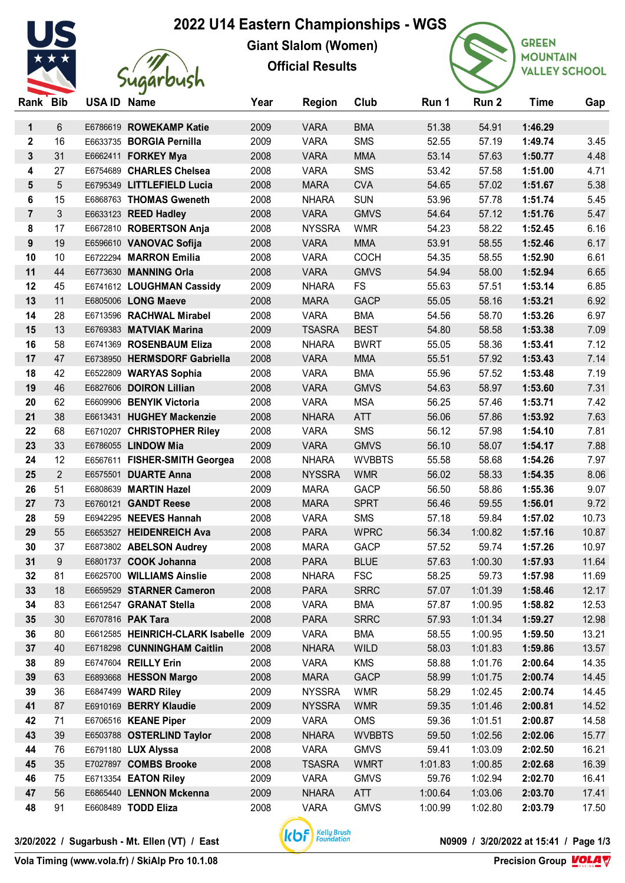## **2022 U14 Eastern Championships - WGS**



**Giant Slalom (Women) Official Results**



**GREEN MOUNTAIN VALLEY SCHOOL** 

| Rank Bib       |                | USA ID Name |                                                  | Year         | <b>Region</b>               | Club                      | Run 1          | Run 2            | <b>Time</b>        | Gap            |
|----------------|----------------|-------------|--------------------------------------------------|--------------|-----------------------------|---------------------------|----------------|------------------|--------------------|----------------|
| $\mathbf 1$    | 6              |             | E6786619 ROWEKAMP Katie                          | 2009         | <b>VARA</b>                 | <b>BMA</b>                | 51.38          | 54.91            | 1:46.29            |                |
| $\mathbf 2$    | 16             |             | E6633735 BORGIA Pernilla                         | 2009         | <b>VARA</b>                 | <b>SMS</b>                | 52.55          | 57.19            | 1:49.74            | 3.45           |
| 3              | 31             |             | E6662411 FORKEY Mya                              | 2008         | <b>VARA</b>                 | <b>MMA</b>                | 53.14          | 57.63            | 1:50.77            | 4.48           |
| 4              | 27             |             | E6754689 CHARLES Chelsea                         | 2008         | <b>VARA</b>                 | <b>SMS</b>                | 53.42          | 57.58            | 1:51.00            | 4.71           |
| 5              | 5              |             | E6795349 LITTLEFIELD Lucia                       | 2008         | <b>MARA</b>                 | <b>CVA</b>                | 54.65          | 57.02            | 1:51.67            | 5.38           |
| 6              | 15             |             | E6868763 THOMAS Gweneth                          | 2008         | <b>NHARA</b>                | <b>SUN</b>                | 53.96          | 57.78            | 1:51.74            | 5.45           |
| $\overline{7}$ | 3              |             | E6633123 REED Hadley                             | 2008         | <b>VARA</b>                 | <b>GMVS</b>               | 54.64          | 57.12            | 1:51.76            | 5.47           |
| 8              | 17             |             | E6672810 ROBERTSON Anja                          | 2008         | <b>NYSSRA</b>               | <b>WMR</b>                | 54.23          | 58.22            | 1:52.45            | 6.16           |
| 9              | 19             |             | E6596610 VANOVAC Sofija                          | 2008         | <b>VARA</b>                 | <b>MMA</b>                | 53.91          | 58.55            | 1:52.46            | 6.17           |
| 10             | 10             |             | E6722294 MARRON Emilia                           | 2008         | <b>VARA</b>                 | <b>COCH</b>               | 54.35          | 58.55            | 1:52.90            | 6.61           |
| 11             | 44             |             | E6773630 MANNING Orla                            | 2008         | <b>VARA</b>                 | <b>GMVS</b>               | 54.94          | 58.00            | 1:52.94            | 6.65           |
| 12             | 45             |             | E6741612 LOUGHMAN Cassidy                        | 2009         | <b>NHARA</b>                | <b>FS</b>                 | 55.63          | 57.51            | 1:53.14            | 6.85           |
| 13             | 11             |             | E6805006 LONG Maeve                              | 2008         | <b>MARA</b>                 | <b>GACP</b>               | 55.05          | 58.16            | 1:53.21            | 6.92           |
| 14             | 28             |             | E6713596 RACHWAL Mirabel                         | 2008         | <b>VARA</b>                 | <b>BMA</b>                | 54.56          | 58.70            | 1:53.26            | 6.97           |
| 15             | 13             |             | E6769383 MATVIAK Marina                          | 2009         | <b>TSASRA</b>               | <b>BEST</b>               | 54.80          | 58.58            | 1:53.38            | 7.09           |
| 16             | 58             |             | E6741369 ROSENBAUM Eliza                         | 2008         | <b>NHARA</b>                | <b>BWRT</b>               | 55.05          | 58.36            | 1:53.41            | 7.12           |
| 17             | 47             |             | E6738950 HERMSDORF Gabriella                     | 2008         | <b>VARA</b>                 | <b>MMA</b>                | 55.51          | 57.92            | 1:53.43            | 7.14           |
| 18             | 42             |             | E6522809 WARYAS Sophia                           | 2008         | <b>VARA</b>                 | <b>BMA</b>                | 55.96          | 57.52            | 1:53.48            | 7.19           |
| 19             | 46             |             | E6827606 DOIRON Lillian                          | 2008         | <b>VARA</b>                 | <b>GMVS</b>               | 54.63          | 58.97            | 1:53.60            | 7.31           |
| 20             | 62             |             | E6609906 BENYIK Victoria                         | 2008         | <b>VARA</b>                 | <b>MSA</b>                | 56.25          | 57.46            | 1:53.71            | 7.42           |
| 21             | 38             |             | E6613431 HUGHEY Mackenzie                        | 2008         | <b>NHARA</b>                | <b>ATT</b>                | 56.06          | 57.86            | 1:53.92            | 7.63           |
| 22             | 68             |             | E6710207 CHRISTOPHER Riley                       | 2008         | <b>VARA</b>                 | <b>SMS</b>                | 56.12          | 57.98            | 1:54.10            | 7.81           |
| 23             | 33             |             | E6786055 LINDOW Mia                              | 2009         | <b>VARA</b>                 | <b>GMVS</b>               | 56.10          | 58.07            | 1:54.17            | 7.88           |
| 24             | 12             |             | E6567611 FISHER-SMITH Georgea                    | 2008         | <b>NHARA</b>                | <b>WVBBTS</b>             | 55.58          | 58.68            | 1:54.26            | 7.97           |
| 25             | $\overline{2}$ |             | E6575501 DUARTE Anna                             | 2008         | <b>NYSSRA</b>               | <b>WMR</b>                | 56.02          | 58.33            | 1:54.35            | 8.06           |
| 26             | 51             |             | E6808639 MARTIN Hazel                            | 2009         | <b>MARA</b>                 | <b>GACP</b>               | 56.50          | 58.86            | 1:55.36            | 9.07           |
| 27             | 73             |             | E6760121 GANDT Reese                             | 2008         | <b>MARA</b>                 | <b>SPRT</b>               | 56.46          | 59.55            | 1:56.01            | 9.72           |
| 28             | 59             |             | E6942295 NEEVES Hannah                           | 2008         | <b>VARA</b>                 | <b>SMS</b>                | 57.18          | 59.84            | 1:57.02            | 10.73          |
| 29<br>30       | 55             |             | E6653527 HEIDENREICH Ava                         | 2008         | <b>PARA</b>                 | <b>WPRC</b>               | 56.34          | 1:00.82          | 1:57.16            | 10.87          |
| 31             | 37<br>9        |             | E6873802 ABELSON Audrey<br>E6801737 COOK Johanna | 2008<br>2008 | <b>MARA</b>                 | <b>GACP</b>               | 57.52          | 59.74            | 1:57.26            | 10.97          |
| 32             | 81             |             | E6625700 WILLIAMS Ainslie                        | 2008         | <b>PARA</b><br><b>NHARA</b> | <b>BLUE</b><br><b>FSC</b> | 57.63<br>58.25 | 1:00.30<br>59.73 | 1:57.93<br>1:57.98 | 11.64<br>11.69 |
| 33             | 18             |             | E6659529 STARNER Cameron                         | 2008         | <b>PARA</b>                 | <b>SRRC</b>               | 57.07          | 1:01.39          | 1:58.46            | 12.17          |
| 34             | 83             |             | E6612547 GRANAT Stella                           | 2008         | <b>VARA</b>                 | <b>BMA</b>                | 57.87          | 1:00.95          | 1:58.82            | 12.53          |
| 35             | 30             |             | E6707816 PAK Tara                                | 2008         | <b>PARA</b>                 | <b>SRRC</b>               | 57.93          | 1:01.34          | 1:59.27            | 12.98          |
| 36             | 80             |             | E6612585 HEINRICH-CLARK Isabelle                 | 2009         | <b>VARA</b>                 | <b>BMA</b>                | 58.55          | 1:00.95          | 1:59.50            | 13.21          |
| 37             | 40             |             | E6718298 CUNNINGHAM Caitlin                      | 2008         | <b>NHARA</b>                | <b>WILD</b>               | 58.03          | 1:01.83          | 1:59.86            | 13.57          |
| 38             | 89             |             | E6747604 REILLY Erin                             | 2008         | <b>VARA</b>                 | <b>KMS</b>                | 58.88          | 1:01.76          | 2:00.64            | 14.35          |
| 39             | 63             |             | E6893668 HESSON Margo                            | 2008         | <b>MARA</b>                 | <b>GACP</b>               | 58.99          | 1:01.75          | 2:00.74            | 14.45          |
| 39             | 36             |             | E6847499 WARD Riley                              | 2009         | <b>NYSSRA</b>               | <b>WMR</b>                | 58.29          | 1:02.45          | 2:00.74            | 14.45          |
| 41             | 87             |             | E6910169 BERRY Klaudie                           | 2009         | <b>NYSSRA</b>               | <b>WMR</b>                | 59.35          | 1:01.46          | 2:00.81            | 14.52          |
| 42             | 71             |             | E6706516 KEANE Piper                             | 2009         | <b>VARA</b>                 | <b>OMS</b>                | 59.36          | 1:01.51          | 2:00.87            | 14.58          |
| 43             | 39             |             | E6503788 OSTERLIND Taylor                        | 2008         | <b>NHARA</b>                | <b>WVBBTS</b>             | 59.50          | 1:02.56          | 2:02.06            | 15.77          |
| 44             | 76             |             | E6791180 LUX Alyssa                              | 2008         | <b>VARA</b>                 | <b>GMVS</b>               | 59.41          | 1:03.09          | 2:02.50            | 16.21          |
| 45             | 35             |             | E7027897 COMBS Brooke                            | 2008         | <b>TSASRA</b>               | <b>WMRT</b>               | 1:01.83        | 1:00.85          | 2:02.68            | 16.39          |
| 46             | 75             |             | E6713354 EATON Riley                             | 2009         | <b>VARA</b>                 | <b>GMVS</b>               | 59.76          | 1:02.94          | 2:02.70            | 16.41          |
| 47             | 56             |             | E6865440 LENNON Mckenna                          | 2009         | <b>NHARA</b>                | ATT                       | 1:00.64        | 1:03.06          | 2:03.70            | 17.41          |
| 48             | 91             |             | E6608489 TODD Eliza                              | 2008         | <b>VARA</b>                 | <b>GMVS</b>               | 1:00.99        | 1:02.80          | 2:03.79            | 17.50          |
|                |                |             |                                                  |              |                             |                           |                |                  |                    |                |

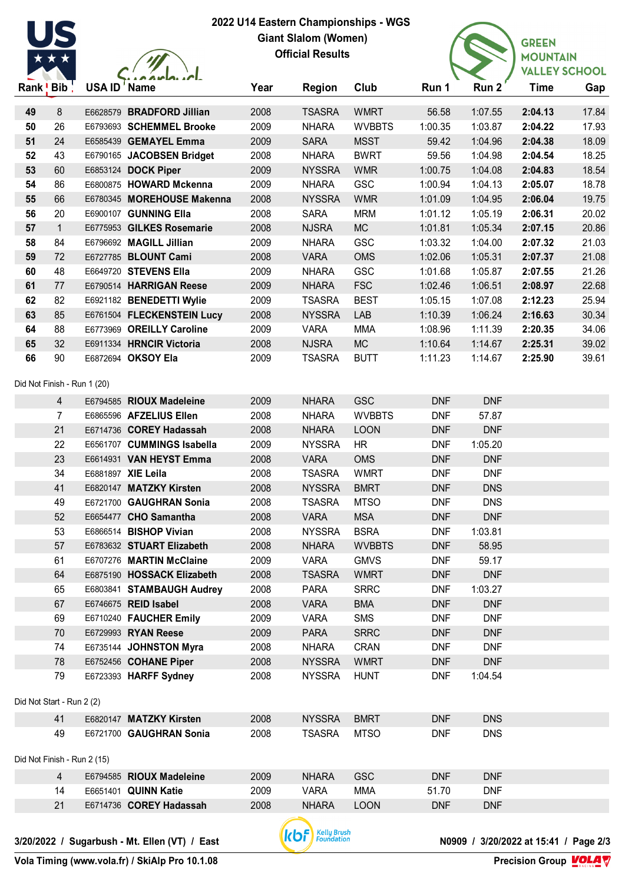

 $\sqrt{\frac{1}{2}}$ 

## **2022 U14 Eastern Championships - WGS Giant Slalom (Women) Official Results**



|          | Rank ! Bib !                | <b>USA ID' Name</b> |                                                       | Year         | <b>Region</b>                  | Club                         | Run 1                    | Run 2                 | <b>Time</b>        | Gap            |
|----------|-----------------------------|---------------------|-------------------------------------------------------|--------------|--------------------------------|------------------------------|--------------------------|-----------------------|--------------------|----------------|
|          |                             |                     |                                                       |              |                                |                              |                          |                       |                    |                |
| 49<br>50 | 8<br>26                     |                     | E6628579 BRADFORD Jillian<br>E6793693 SCHEMMEL Brooke | 2008<br>2009 | <b>TSASRA</b><br><b>NHARA</b>  | <b>WMRT</b><br><b>WVBBTS</b> | 56.58<br>1:00.35         | 1:07.55<br>1:03.87    | 2:04.13<br>2:04.22 | 17.84<br>17.93 |
| 51       | 24                          |                     | E6585439 GEMAYEL Emma                                 | 2009         | <b>SARA</b>                    | <b>MSST</b>                  | 59.42                    | 1:04.96               | 2:04.38            | 18.09          |
| 52       | 43                          |                     | E6790165 JACOBSEN Bridget                             | 2008         | <b>NHARA</b>                   | <b>BWRT</b>                  | 59.56                    | 1:04.98               | 2:04.54            | 18.25          |
| 53       | 60                          |                     | E6853124 DOCK Piper                                   | 2009         | <b>NYSSRA</b>                  | <b>WMR</b>                   | 1:00.75                  | 1:04.08               | 2:04.83            | 18.54          |
| 54       | 86                          |                     | E6800875 HOWARD Mckenna                               | 2009         | <b>NHARA</b>                   | <b>GSC</b>                   | 1:00.94                  | 1:04.13               | 2:05.07            | 18.78          |
| 55       | 66                          |                     | E6780345 MOREHOUSE Makenna                            | 2008         | <b>NYSSRA</b>                  | <b>WMR</b>                   | 1:01.09                  | 1:04.95               | 2:06.04            | 19.75          |
| 56       | 20                          |                     | E6900107 GUNNING Ella                                 | 2008         | <b>SARA</b>                    | <b>MRM</b>                   | 1:01.12                  | 1:05.19               | 2:06.31            | 20.02          |
| 57       | $\mathbf{1}$                |                     | E6775953 GILKES Rosemarie                             | 2008         | <b>NJSRA</b>                   | <b>MC</b>                    | 1:01.81                  | 1:05.34               | 2:07.15            | 20.86          |
| 58       | 84                          |                     | E6796692 MAGILL Jillian                               | 2009         | <b>NHARA</b>                   | <b>GSC</b>                   | 1:03.32                  | 1:04.00               | 2:07.32            | 21.03          |
| 59       | 72                          |                     | E6727785 BLOUNT Cami                                  | 2008         | <b>VARA</b>                    | <b>OMS</b>                   | 1:02.06                  | 1:05.31               | 2:07.37            | 21.08          |
| 60       | 48                          |                     | E6649720 STEVENS Ella                                 | 2009         | <b>NHARA</b>                   | <b>GSC</b>                   | 1:01.68                  | 1:05.87               | 2:07.55            | 21.26          |
| 61       | 77                          |                     | E6790514 HARRIGAN Reese                               | 2009         | <b>NHARA</b>                   | <b>FSC</b>                   | 1:02.46                  | 1:06.51               | 2:08.97            | 22.68          |
| 62       | 82                          |                     | E6921182 BENEDETTI Wylie                              | 2009         | <b>TSASRA</b>                  | <b>BEST</b>                  | 1:05.15                  | 1:07.08               | 2:12.23            | 25.94          |
| 63       | 85                          |                     | E6761504 FLECKENSTEIN Lucy                            | 2008         | <b>NYSSRA</b>                  | LAB                          | 1:10.39                  | 1:06.24               | 2:16.63            | 30.34          |
| 64       | 88                          |                     | E6773969 OREILLY Caroline                             | 2009         | <b>VARA</b>                    | <b>MMA</b>                   | 1:08.96                  | 1:11.39               | 2:20.35            | 34.06          |
| 65       | 32                          |                     | E6911334 HRNCIR Victoria                              | 2008         | <b>NJSRA</b>                   | <b>MC</b>                    | 1:10.64                  | 1:14.67               | 2:25.31            | 39.02          |
| 66       | 90                          |                     | E6872694 OKSOY Ela                                    | 2009         | <b>TSASRA</b>                  | <b>BUTT</b>                  | 1:11.23                  | 1:14.67               | 2:25.90            | 39.61          |
|          |                             |                     |                                                       |              |                                |                              |                          |                       |                    |                |
|          | Did Not Finish - Run 1 (20) |                     |                                                       |              |                                |                              |                          |                       |                    |                |
|          | $\overline{4}$              |                     | E6794585 RIOUX Madeleine                              | 2009         | <b>NHARA</b>                   | <b>GSC</b>                   | <b>DNF</b>               | <b>DNF</b>            |                    |                |
|          | $\overline{7}$              |                     | E6865596 AFZELIUS Ellen                               | 2008         | <b>NHARA</b>                   | <b>WVBBTS</b>                | <b>DNF</b>               | 57.87                 |                    |                |
|          | 21                          |                     | E6714736 COREY Hadassah                               | 2008         | <b>NHARA</b>                   | <b>LOON</b>                  | <b>DNF</b>               | <b>DNF</b>            |                    |                |
|          | 22                          |                     | E6561707 CUMMINGS Isabella                            | 2009         | <b>NYSSRA</b>                  | <b>HR</b>                    | <b>DNF</b>               | 1:05.20               |                    |                |
|          | 23                          |                     | E6614931 VAN HEYST Emma                               | 2008         | <b>VARA</b>                    | <b>OMS</b>                   | <b>DNF</b>               | <b>DNF</b>            |                    |                |
|          | 34                          |                     | E6881897 XIE Leila                                    | 2008         | <b>TSASRA</b>                  | <b>WMRT</b>                  | <b>DNF</b>               | <b>DNF</b>            |                    |                |
|          | 41                          |                     | E6820147 MATZKY Kirsten                               | 2008         | <b>NYSSRA</b>                  | <b>BMRT</b>                  | <b>DNF</b>               | <b>DNS</b>            |                    |                |
|          | 49                          |                     | E6721700 GAUGHRAN Sonia                               | 2008         | <b>TSASRA</b>                  | <b>MTSO</b>                  | <b>DNF</b>               | <b>DNS</b>            |                    |                |
|          | 52                          |                     | E6654477 CHO Samantha                                 | 2008         | <b>VARA</b>                    | <b>MSA</b>                   | <b>DNF</b>               | <b>DNF</b>            |                    |                |
|          | 53                          |                     | E6866514 BISHOP Vivian                                | 2008         | <b>NYSSRA</b>                  | <b>BSRA</b>                  | <b>DNF</b>               | 1:03.81               |                    |                |
|          | 57                          |                     | E6783632 STUART Elizabeth                             | 2008         | <b>NHARA</b>                   | <b>WVBBTS</b>                | <b>DNF</b>               | 58.95                 |                    |                |
|          | 61                          |                     | E6707276 MARTIN McClaine                              | 2009         | <b>VARA</b>                    | <b>GMVS</b>                  | <b>DNF</b>               | 59.17                 |                    |                |
|          | 64                          |                     | E6875190 HOSSACK Elizabeth                            | 2008         | <b>TSASRA</b>                  | <b>WMRT</b>                  | <b>DNF</b>               | <b>DNF</b>            |                    |                |
|          | 65                          |                     | E6803841 STAMBAUGH Audrey                             | 2008         | <b>PARA</b>                    | <b>SRRC</b>                  | <b>DNF</b>               | 1:03.27               |                    |                |
|          | 67                          |                     | E6746675 REID Isabel                                  | 2008         | <b>VARA</b>                    | <b>BMA</b>                   | <b>DNF</b>               | <b>DNF</b>            |                    |                |
|          | 69                          |                     | E6710240 FAUCHER Emily                                | 2009         | <b>VARA</b>                    | <b>SMS</b>                   | <b>DNF</b>               | <b>DNF</b>            |                    |                |
|          | 70                          |                     | E6729993 RYAN Reese                                   | 2009         | <b>PARA</b>                    | <b>SRRC</b>                  | <b>DNF</b>               | <b>DNF</b>            |                    |                |
|          | 74                          |                     | E6735144 JOHNSTON Myra<br>E6752456 COHANE Piper       | 2008         | <b>NHARA</b>                   | <b>CRAN</b>                  | <b>DNF</b>               | <b>DNF</b>            |                    |                |
|          | 78<br>79                    |                     | E6723393 HARFF Sydney                                 | 2008<br>2008 | <b>NYSSRA</b><br><b>NYSSRA</b> | <b>WMRT</b><br><b>HUNT</b>   | <b>DNF</b><br><b>DNF</b> | <b>DNF</b><br>1:04.54 |                    |                |
|          |                             |                     |                                                       |              |                                |                              |                          |                       |                    |                |
|          | Did Not Start - Run 2 (2)   |                     |                                                       |              |                                |                              |                          |                       |                    |                |
|          | 41                          |                     | E6820147 MATZKY Kirsten                               | 2008         | <b>NYSSRA</b>                  | <b>BMRT</b>                  | <b>DNF</b>               | <b>DNS</b>            |                    |                |
|          | 49                          |                     | E6721700 GAUGHRAN Sonia                               | 2008         | <b>TSASRA</b>                  | <b>MTSO</b>                  | <b>DNF</b>               | <b>DNS</b>            |                    |                |
|          |                             |                     |                                                       |              |                                |                              |                          |                       |                    |                |
|          | Did Not Finish - Run 2 (15) |                     |                                                       |              |                                |                              |                          |                       |                    |                |
|          | 4                           |                     | E6794585 RIOUX Madeleine                              | 2009         | <b>NHARA</b>                   | <b>GSC</b>                   | <b>DNF</b>               | <b>DNF</b>            |                    |                |
|          | 14                          |                     | E6651401 QUINN Katie                                  | 2009         | <b>VARA</b>                    | <b>MMA</b>                   | 51.70                    | <b>DNF</b>            |                    |                |



E6714736 **COREY Hadassah** 2008 NHARA LOON DNF DNF